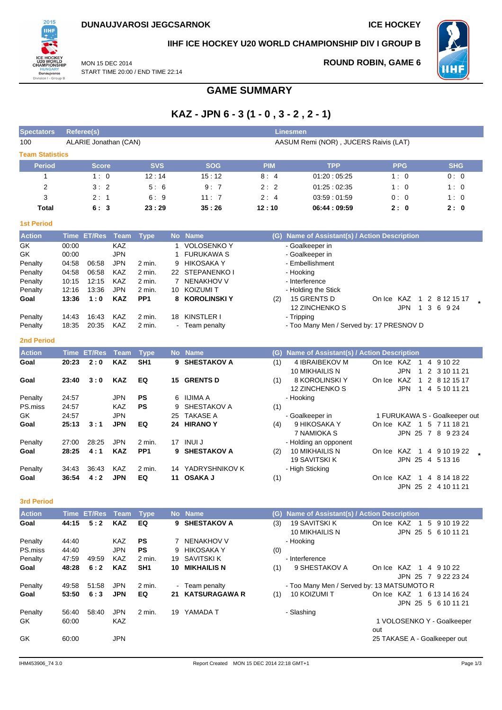

## **IIHF ICE HOCKEY U20 WORLD CHAMPIONSHIP DIV I GROUP B**

MON 15 DEC 2014 START TIME 20:00 / END TIME 22:14

## **ROUND ROBIN, GAME 6**



**GAME SUMMARY**

# **KAZ - JPN 6 - 3 (1 - 0 , 3 - 2 , 2 - 1)**

| <b>Spectators</b>      | <b>Referee(s)</b> |                       |                   |                  |          |                                      |            | <b>Linesmen</b>                               |                                                            |                               |
|------------------------|-------------------|-----------------------|-------------------|------------------|----------|--------------------------------------|------------|-----------------------------------------------|------------------------------------------------------------|-------------------------------|
| 100                    |                   | ALARIE Jonathan (CAN) |                   |                  |          |                                      |            | AASUM Remi (NOR), JUCERS Raivis (LAT)         |                                                            |                               |
| <b>Team Statistics</b> |                   |                       |                   |                  |          |                                      |            |                                               |                                                            |                               |
| <b>Period</b>          |                   | <b>Score</b>          |                   | <b>SVS</b>       |          | <b>SOG</b>                           | <b>PIM</b> | <b>TPP</b>                                    | <b>PPG</b>                                                 | <b>SHG</b>                    |
| 1                      |                   | 1:0                   |                   | 12:14            |          | 15:12                                | 8:4        | 01:20:05:25                                   | 1:0                                                        | 0:0                           |
| $\overline{2}$         |                   | 3:2                   |                   | 5:6              |          | 9:7                                  | 2:2        | 01.25:02.35                                   | 1:0                                                        | 1:0                           |
| 3                      |                   | 2:1                   |                   | 6:9              |          | 11:7                                 | 2:4        | 03:59:01:59                                   | 0:0                                                        | 1:0                           |
| <b>Total</b>           |                   | 6:3                   |                   | 23:29            |          | 35:26                                | 12:10      | 06:44:09:59                                   | 2:0                                                        | 2:0                           |
| <b>1st Period</b>      |                   |                       |                   |                  |          |                                      |            |                                               |                                                            |                               |
| <b>Action</b>          |                   | Time ET/Res Team      |                   | <b>Type</b>      |          | No Name                              |            | (G) Name of Assistant(s) / Action Description |                                                            |                               |
| GK                     | 00:00             |                       | <b>KAZ</b>        |                  | 1        | <b>VOLOSENKO Y</b>                   |            | - Goalkeeper in                               |                                                            |                               |
| GK                     | 00:00             |                       | <b>JPN</b>        |                  | 1        | <b>FURUKAWA S</b>                    |            | - Goalkeeper in                               |                                                            |                               |
| Penalty                | 04:58             | 06:58                 | <b>JPN</b>        | 2 min.           | 9        | <b>HIKOSAKA Y</b>                    |            | - Embellishment                               |                                                            |                               |
| Penalty                | 04:58             | 06:58                 | KAZ               | 2 min.           | 22       | STEPANENKO I                         |            | - Hooking                                     |                                                            |                               |
| Penalty<br>Penalty     | 10:15<br>12:16    | 12:15<br>13:36        | KAZ<br><b>JPN</b> | 2 min.<br>2 min. | 7<br>10  | <b>NENAKHOV V</b><br><b>KOIZUMIT</b> |            | - Interference<br>- Holding the Stick         |                                                            |                               |
| Goal                   | 13:36             | 1:0                   | <b>KAZ</b>        | PP <sub>1</sub>  | 8        | <b>KOROLINSKI Y</b>                  | (2)        | 15 GRENTS D                                   | On Ice KAZ<br>$\mathbf{1}$                                 | 2 8 12 15 17                  |
|                        |                   |                       |                   |                  |          |                                      |            | 12 ZINCHENKO S                                | <b>JPN</b><br>$\mathbf{1}$                                 | 3 6 9 24                      |
| Penalty                | 14:43             | 16:43                 | KAZ               | 2 min.           | 18       | KINSTLER I                           |            | - Tripping                                    |                                                            |                               |
| Penalty                | 18:35             | 20:35                 | KAZ               | 2 min.           |          | - Team penalty                       |            | - Too Many Men / Served by: 17 PRESNOV D      |                                                            |                               |
| <b>2nd Period</b>      |                   |                       |                   |                  |          |                                      |            |                                               |                                                            |                               |
|                        |                   |                       |                   |                  |          |                                      |            |                                               |                                                            |                               |
| <b>Action</b>          |                   | Time ET/Res           | Team              | <b>Type</b>      |          | No Name                              |            | (G) Name of Assistant(s) / Action Description |                                                            |                               |
| Goal                   | 20:23             | 2:0                   | <b>KAZ</b>        | SH <sub>1</sub>  |          | 9 SHESTAKOV A                        | (1)        | 4 IBRAIBEKOV M<br>10 MIKHAILIS N              | On Ice KAZ<br>$\overline{1}$<br><b>JPN</b><br>$\mathbf{1}$ | 4 9 10 22<br>2 3 10 11 21     |
| Goal                   | 23:40             | 3:0                   | <b>KAZ</b>        | EQ               |          | 15 GRENTS D                          | (1)        | 8 KOROLINSKI Y                                | On Ice KAZ                                                 | 1 2 8 12 15 17                |
|                        |                   |                       |                   |                  |          |                                      |            | 12 ZINCHENKO S                                | JPN                                                        | 1 4 5 10 11 21                |
| Penalty                | 24:57             |                       | <b>JPN</b>        | <b>PS</b>        | 6        | IIJIMA A                             |            | - Hooking                                     |                                                            |                               |
| PS.miss                | 24:57             |                       | KAZ               | <b>PS</b>        | 9        | SHESTAKOV A                          | (1)        |                                               |                                                            |                               |
| GK                     | 24:57             |                       | <b>JPN</b>        |                  | 25       | <b>TAKASE A</b>                      |            | - Goalkeeper in                               |                                                            | 1 FURUKAWA S - Goalkeeper out |
| Goal                   | 25:13             | 3:1                   | <b>JPN</b>        | EQ               | 24       | <b>HIRANOY</b>                       | (4)        | 9 HIKOSAKA Y                                  | On Ice KAZ 1 5 7 11 18 21                                  |                               |
|                        |                   |                       |                   |                  |          |                                      |            | 7 NAMIOKA S                                   |                                                            | JPN 25 7 8 9 23 24            |
| Penalty                | 27:00             | 28:25                 | <b>JPN</b>        | 2 min.           | 17       | INUI J                               |            | - Holding an opponent                         |                                                            |                               |
| Goal                   | 28:25             | 4:1                   | <b>KAZ</b>        | PP <sub>1</sub>  |          | 9 SHESTAKOV A                        | (2)        | 10 MIKHAILIS N                                | On Ice KAZ<br>$\overline{1}$                               | 4 9 10 19 22                  |
|                        |                   |                       |                   |                  |          |                                      |            | <b>19 SAVITSKI K</b>                          |                                                            | JPN 25 4 5 13 16              |
| Penalty<br>Goal        | 34:43<br>36:54    | 36:43<br>4:2          | KAZ<br><b>JPN</b> | 2 min.<br>EQ     | 14<br>11 | YADRYSHNIKOV K<br><b>OSAKA J</b>     |            | - High Sticking                               | On Ice KAZ<br>$\vert$ 1                                    | 4 8 14 18 22                  |
|                        |                   |                       |                   |                  |          |                                      | (1)        |                                               |                                                            | JPN 25 2 4 10 11 21           |
|                        |                   |                       |                   |                  |          |                                      |            |                                               |                                                            |                               |
| 3rd Period             |                   |                       |                   |                  |          |                                      |            |                                               |                                                            |                               |
| <b>Action</b>          |                   | Time ET/Res           | Team              | <b>Type</b>      |          | No Name                              |            | (G) Name of Assistant(s) / Action Description |                                                            |                               |
| Goal                   | 44:15             | 5:2                   | <b>KAZ</b>        | EQ               |          | 9 SHESTAKOV A                        | (3)        | 19 SAVITSKI K                                 | On Ice KAZ 1 5 9 10 19 22                                  |                               |
| Penalty                | 44:40             |                       | KAZ               | PS               |          | 7 NENAKHOV V                         |            | 10 MIKHAILIS N<br>- Hooking                   |                                                            | JPN 25 5 6 10 11 21           |
| PS.miss                | 44:40             |                       | <b>JPN</b>        | PS               | 9        | <b>HIKOSAKA Y</b>                    | (0)        |                                               |                                                            |                               |
| Penalty                | 47:59             | 49:59                 | KAZ               | 2 min.           | 19       | SAVITSKI K                           |            | - Interference                                |                                                            |                               |
| Goal                   | 48:28             | 6:2                   | <b>KAZ</b>        | SH <sub>1</sub>  | 10       | <b>MIKHAILIS N</b>                   | (1)        | 9 SHESTAKOV A                                 | On Ice KAZ 1 4 9 10 22                                     |                               |
|                        |                   |                       |                   |                  |          |                                      |            |                                               |                                                            | JPN 25 7 9 22 23 24           |
| Penalty                | 49:58             | 51:58                 | <b>JPN</b>        | 2 min.           |          | - Team penalty                       |            | - Too Many Men / Served by: 13 MATSUMOTO R    |                                                            |                               |
| Goal                   | 53:50             | 6:3                   | <b>JPN</b>        | EQ               |          | 21 KATSURAGAWA R                     | (1)        | 10 KOIZUMI T                                  | On Ice KAZ 1 6 13 14 16 24                                 |                               |
|                        |                   |                       |                   |                  |          |                                      |            |                                               |                                                            | JPN 25 5 6 10 11 21           |
| Penalty                | 56:40             | 58:40                 | <b>JPN</b>        | 2 min.           |          | 19 YAMADA T                          |            | - Slashing                                    |                                                            |                               |
| GK                     | 60:00             |                       | KAZ               |                  |          |                                      |            |                                               | 1 VOLOSENKO Y - Goalkeeper                                 |                               |
| GK                     | 60:00             |                       | <b>JPN</b>        |                  |          |                                      |            |                                               | out<br>25 TAKASE A - Goalkeeper out                        |                               |
|                        |                   |                       |                   |                  |          |                                      |            |                                               |                                                            |                               |
|                        |                   |                       |                   |                  |          |                                      |            |                                               |                                                            |                               |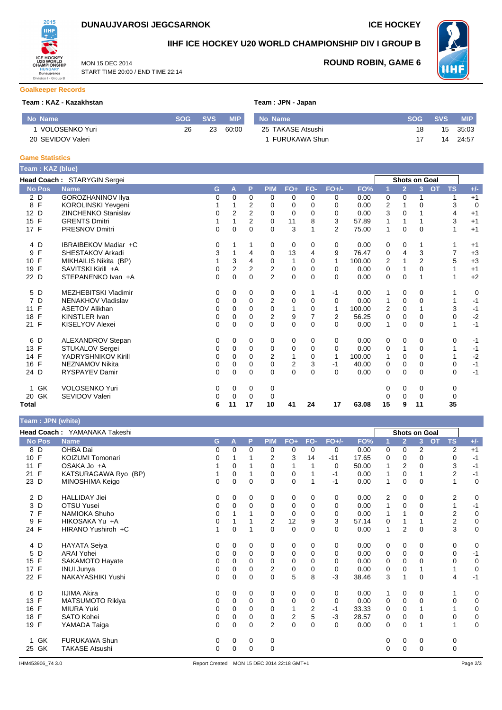

START TIME 20:00 / END TIME 22:14

MON 15 DEC 2014



## **IIHF ICE HOCKEY U20 WORLD CHAMPIONSHIP DIV I GROUP B**



**ROUND ROBIN, GAME 6**

#### **Goalkeeper Records**

#### **Team : KAZ - Kazakhstan Team : JPN - JPN - JPN - JPN - JPN - JPN - JPN - JPN - JPN - JPN - JPN - JPN - JPN - JPN - JPN - JPN - JPN - JPN - JPN - JPN - JPN - JPN - JPN - JPN - JPN - JPN - JPN - JPN - JPN - JPN - JPN - JP**

|  |  |  |  | eam : JPN - Japan |
|--|--|--|--|-------------------|
|--|--|--|--|-------------------|

| No Name           | SOG | SVS | <b>MIP</b> | No Name           | <b>SOG</b> | <b>SVS</b> | <b>MIP</b> |
|-------------------|-----|-----|------------|-------------------|------------|------------|------------|
| VOLOSENKO Yuri    | 26  | 23  | 60:00      | 25 TAKASE Atsushi | 18         | 15         | 35:03      |
| 20 SEVIDOV Valeri |     |     |            | FURUKAWA Shun     |            |            | 24:57      |

#### **Game Statistics**

| Team: KAZ (blue) |                             |          |                |                |                |                |          |                |        |          |                |                      |                        |       |
|------------------|-----------------------------|----------|----------------|----------------|----------------|----------------|----------|----------------|--------|----------|----------------|----------------------|------------------------|-------|
|                  | Head Coach: STARYGIN Sergei |          |                |                |                |                |          |                |        |          |                | <b>Shots on Goal</b> |                        |       |
| <b>No Pos</b>    | <b>Name</b>                 | G        | A              | P              | <b>PIM</b>     | $FO+$          | FO-      | $FO+/-$        | FO%    |          | $\overline{2}$ | $\overline{3}$       | <b>TS</b><br><b>OT</b> | $+/-$ |
| 2 D              | GOROZHANINOV Ilya           | 0        | 0              | 0              | 0              | 0              | 0        | 0              | 0.00   | 0        | 0              |                      | 1                      | $+1$  |
| 8 F              | KOROLINSKI Yevgeni          |          |                | 2              | 0              | $\Omega$       | 0        | 0              | 0.00   | 2        | 1              | 0                    | 3                      | 0     |
| 12 D             | <b>ZINCHENKO Stanislav</b>  | 0        | 2              | $\overline{2}$ | 0              | 0              | $\Omega$ | 0              | 0.00   | 3        | 0              |                      | 4                      | $+1$  |
| 15 F             | <b>GRENTS Dmitri</b>        |          |                | 2              | 0              | 11             | 8        | 3              | 57.89  |          | 1              |                      | 3                      | $+1$  |
| 17 F             | <b>PRESNOV Dmitri</b>       | 0        | $\Omega$       | $\Omega$       | $\Omega$       | 3              |          | $\overline{2}$ | 75.00  | 1        | $\Omega$       | $\Omega$             |                        | $+1$  |
| 4 D              | IBRAIBEKOV Madiar +C        | 0        |                |                | 0              | 0              | 0        | 0              | 0.00   | 0        | 0              |                      |                        | $+1$  |
| F<br>9           | SHESTAKOV Arkadi            | 3        |                | 4              | 0              | 13             | 4        | 9              | 76.47  | 0        | 4              | 3                    | 7                      | $+3$  |
| F<br>10          | MIKHAILIS Nikita (BP)       |          | 3              | 4              | 0              | 1              | $\Omega$ | $\mathbf{1}$   | 100.00 | 2        |                | $\overline{2}$       | 5                      | $+3$  |
| 19 F             | SAVITSKI Kirill +A          | 0        | $\overline{2}$ | $\overline{2}$ | 2              | 0              | 0        | 0              | 0.00   | 0        | 1              | 0                    |                        | $+1$  |
| 22 D             | STEPANENKO Ivan +A          | 0        | 0              | $\Omega$       | $\overline{2}$ | 0              | $\Omega$ | $\Omega$       | 0.00   | 0        | $\mathbf 0$    |                      |                        | $+2$  |
| 5 D              | <b>MEZHEBITSKI Vladimir</b> | 0        | 0              | 0              | 0              | 0              |          | $-1$           | 0.00   | 1        | 0              | 0                    |                        | 0     |
| 7 D              | NENAKHOV Vladislav          | 0        | 0              | $\Omega$       | 2              | 0              | $\Omega$ | 0              | 0.00   | 1        | 0              | 0                    |                        | $-1$  |
| F<br>11          | <b>ASETOV Alikhan</b>       | 0        | $\Omega$       | $\Omega$       | 0              | 1              | $\Omega$ | $\mathbf{1}$   | 100.00 | 2        | $\Omega$       |                      | 3                      | $-1$  |
| F<br>18          | <b>KINSTLER Ivan</b>        | 0        | 0              | 0              | 2              | 9              | 7        | $\overline{2}$ | 56.25  | 0        | 0              | 0                    | 0                      | $-2$  |
| 21 F             | KISELYOV Alexei             | $\Omega$ | 0              | $\Omega$       | $\Omega$       | 0              | $\Omega$ | $\Omega$       | 0.00   | 1        | $\Omega$       | $\Omega$             |                        | $-1$  |
| 6 D              | ALEXANDROV Stepan           | 0        | 0              | $\mathbf 0$    | 0              | 0              | $\Omega$ | 0              | 0.00   | 0        | 0              | 0                    | 0                      | $-1$  |
| 13 F             | STUKALOV Sergei             | 0        | 0              | $\mathbf 0$    | 0              | 0              | $\Omega$ | 0              | 0.00   | 0        | 1              | 0                    |                        | $-1$  |
| 14 F             | YADRYSHNIKOV Kirill         | 0        | 0              | $\Omega$       | $\overline{2}$ | 1              | $\Omega$ | $\mathbf 1$    | 100.00 |          | 0              | 0                    |                        | $-2$  |
| F<br>16          | <b>NEZNAMOV Nikita</b>      | 0        | 0              | 0              | 0              | $\overline{2}$ | 3        | -1             | 40.00  | 0        | 0              | 0                    | 0                      | $-1$  |
| 24 D             | <b>RYSPAYEV Damir</b>       | 0        | 0              | $\Omega$       | $\Omega$       | 0              | $\Omega$ | $\Omega$       | 0.00   | $\Omega$ | $\mathbf 0$    | 0                    | 0                      | $-1$  |
| GK               | <b>VOLOSENKO Yuri</b>       | 0        | 0              | 0              | 0              |                |          |                |        | 0        | 0              | 0                    | 0                      |       |
| GK<br>20         | <b>SEVIDOV Valeri</b>       | 0        | 0              | 0              | 0              |                |          |                |        |          | 0              | 0                    | 0                      |       |
| Total            |                             | 6        | 11             | 17             | 10             | 41             | 24       | 17             | 63.08  | 15       | 9              | 11                   | 35                     |       |

### **Team : JPN (white)**

| $1$ van $1$ vi $1$ (will v |                              |             |   |             |                |             |              |          |       |   |                      |                |           |                         |             |
|----------------------------|------------------------------|-------------|---|-------------|----------------|-------------|--------------|----------|-------|---|----------------------|----------------|-----------|-------------------------|-------------|
|                            | Head Coach: YAMANAKA Takeshi |             |   |             |                |             |              |          |       |   | <b>Shots on Goal</b> |                |           |                         |             |
| <b>No Pos</b>              | <b>Name</b>                  | G           | A | P           | <b>PIM</b>     | $FO+$       | FO-          | $FO+/-$  | FO%   | 1 | $\overline{2}$       | $\overline{3}$ | <b>OT</b> | <b>TS</b>               | $+/-$       |
| 8 D                        | OHBA Dai                     | 0           | 0 | 0           | 0              | 0           | 0            | 0        | 0.00  | 0 | 0                    | 2              |           | $\overline{2}$          | $+1$        |
| 10 F                       | KOIZUMI Tomonari             | 0           |   |             | 2              | 3           | 14           | $-11$    | 17.65 | 0 | 0                    | 0              |           | 0                       | $-1$        |
| F<br>11                    | OSAKA Jo +A                  |             | 0 |             | 0              |             |              | 0        | 50.00 | 1 | 2                    | 0              |           | 3                       | $-1$        |
| F<br>21                    | KATSURAGAWA Ryo (BP)         |             | 0 |             | 0              | 0           |              | -1       | 0.00  |   | 0                    |                |           | $\overline{2}$          | $-1$        |
| 23 D                       | MINOSHIMA Keigo              | 0           | 0 | $\Omega$    | $\Omega$       | $\Omega$    |              | $-1$     | 0.00  | 1 | $\Omega$             | $\Omega$       |           |                         | $\mathbf 0$ |
| 2 D                        | <b>HALLIDAY Jiei</b>         | 0           | 0 | 0           | 0              | 0           | 0            | 0        | 0.00  | 2 | 0                    | 0              |           | 2                       | $\mathbf 0$ |
| 3 D                        | OTSU Yusei                   | 0           | 0 | 0           | 0              | 0           | 0            | 0        | 0.00  | 1 | $\mathbf 0$          | $\Omega$       |           |                         | $-1$        |
| 7F                         | <b>NAMIOKA Shuho</b>         | 0           |   |             | 0              | 0           | 0            | 0        | 0.00  | 1 |                      | 0              |           | $\overline{2}$          | 0           |
| F<br>9                     | HIKOSAKA Yu +A               | $\mathbf 0$ |   |             | $\overline{2}$ | 12          | 9            | 3        | 57.14 | 0 |                      |                |           | $\overline{\mathbf{c}}$ | 0           |
| 24 F                       | HIRANO Yushiroh +C           |             | 0 | 1           | $\Omega$       | $\mathbf 0$ | $\mathbf{0}$ | $\Omega$ | 0.00  | 1 | 2                    | $\Omega$       |           | 3                       | $\mathbf 0$ |
| 4 D                        | <b>HAYATA Seiya</b>          | 0           | 0 | 0           | 0              | 0           | 0            | 0        | 0.00  | 0 | 0                    | 0              |           | 0                       | 0           |
| D<br>5                     | <b>ARAI Yohei</b>            | 0           | 0 | 0           | 0              | $\mathbf 0$ | $\mathbf{0}$ | $\Omega$ | 0.00  | 0 | $\mathbf 0$          | $\Omega$       |           | 0                       | $-1$        |
| 15 F                       | SAKAMOTO Hayate              | 0           | 0 | 0           | 0              | 0           | 0            | 0        | 0.00  | 0 | 0                    | 0              |           | 0                       | 0           |
| 17 F                       | <b>INUI Junya</b>            | 0           | 0 | $\Omega$    | $\overline{c}$ | 0           | 0            | 0        | 0.00  | 0 | 0                    |                |           |                         | $\mathbf 0$ |
| 22 F                       | NAKAYASHIKI Yushi            | $\mathbf 0$ | 0 | 0           | 0              | 5           | 8            | $-3$     | 38.46 | 3 | 1                    | 0              |           | 4                       | $-1$        |
| 6 D                        | <b>IIJIMA Akira</b>          | 0           | 0 | 0           | 0              | 0           | 0            | 0        | 0.00  | 1 | 0                    | 0              |           |                         | 0           |
| 13 F                       | MATSUMOTO Rikiya             | 0           | 0 | $\Omega$    | 0              | $\mathbf 0$ | $\Omega$     | 0        | 0.00  | 0 | 0                    | $\Omega$       |           | 0                       | $\mathbf 0$ |
| F<br>16                    | <b>MIURA Yuki</b>            | 0           | 0 | $\Omega$    | 0              |             | 2            | $-1$     | 33.33 | 0 | 0                    |                |           |                         | 0           |
| 18 F                       | SATO Kohei                   | $\mathbf 0$ | 0 | 0           | 0              | 2           | 5            | $-3$     | 28.57 | 0 | 0                    | 0              |           | 0                       | $\pmb{0}$   |
| 19 F                       | YAMADA Taiga                 | $\Omega$    | 0 | $\Omega$    | 2              | 0           | $\mathbf{0}$ | $\Omega$ | 0.00  | 0 | $\Omega$             |                |           |                         | $\mathbf 0$ |
| GK                         | <b>FURUKAWA Shun</b>         | 0           | 0 | 0           | 0              |             |              |          |       | 0 | 0                    | 0              |           | 0                       |             |
| GK<br>25                   | <b>TAKASE Atsushi</b>        | 0           | 0 | $\mathbf 0$ | $\mathbf 0$    |             |              |          |       | 0 | 0                    | $\mathbf 0$    |           | 0                       |             |
|                            |                              |             |   |             |                |             |              |          |       |   |                      |                |           |                         |             |